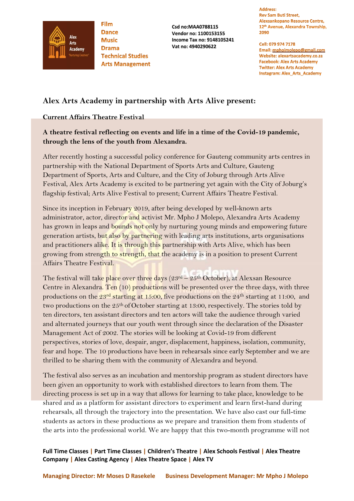

**Film Dance Music Drama Technical Studies Arts Management** 

**Csd no:MAA0788115 Vendor no: 1100153155 Income Tax no: 9148105241 Vat no: 4940290622** 

**Address: Rev Sam Buti Street,** Alexsankopano Resource Centre, 12<sup>th</sup> Avenue, Alexandra Township, 2090

Cell: 079 974 7178 Email: mphojmolepo@gmail.com Website: alexartsacademy.co.za **Facebook: Alex Arts Academy Twitter: Alex Arts Academy Instagram: Alex\_Arts\_Academy** 

# **Alex Arts Academy in partnership with Arts Alive present:**

## **Current Affairs Theatre Festival**

# **A theatre festival reflecting on events and life in a time of the Covid-19 pandemic, through the lens of the youth from Alexandra.**

After recently hosting a successful policy conference for Gauteng community arts centres in partnership with the National Department of Sports Arts and Culture, Gauteng Department of Sports, Arts and Culture, and the City of Joburg through Arts Alive Festival, Alex Arts Academy is excited to be partnering yet again with the City of Joburg's flagship festival; Arts Alive Festival to present; Current Affairs Theatre Festival.

Since its inception in February 2019, after being developed by well-known arts administrator, actor, director and activist Mr. Mpho J Molepo, Alexandra Arts Academy has grown in leaps and bounds not only by nurturing young minds and empowering future generation artists, but also by partnering with leading arts institutions, arts organisations and practitioners alike. It is through this partnership with Arts Alive, which has been growing from strength to strength, that the academy is in a position to present Current Affairs Theatre Festival.

The festival will take place over three days  $(23<sup>rd</sup> - 25<sup>th</sup> October)$ , at Alexsan Resource Centre in Alexandra. Ten (10) productions will be presented over the three days, with three productions on the 23rd starting at 15:00, five productions on the 24th starting at 11:00, and two productions on the 25<sup>th</sup> of October starting at 13:00, respectively. The stories told by ten directors, ten assistant directors and ten actors will take the audience through varied and alternated journeys that our youth went through since the declaration of the Disaster Management Act of 2002. The stories will be looking at Covid-19 from different perspectives, stories of love, despair, anger, displacement, happiness, isolation, community, fear and hope. The 10 productions have been in rehearsals since early September and we are thrilled to be sharing them with the community of Alexandra and beyond.

The festival also serves as an incubation and mentorship program as student directors have been given an opportunity to work with established directors to learn from them. The directing process is set up in a way that allows for learning to take place, knowledge to be shared and as a platform for assistant directors to experiment and learn first-hand during rehearsals, all through the trajectory into the presentation. We have also cast our full-time students as actors in these productions as we prepare and transition them from students of the arts into the professional world. We are happy that this two-month programme will not

**Full Time Classes | Part Time Classes | Children's Theatre | Alex Schools Festival | Alex Theatre Company | Alex Casting Agency | Alex Theatre Space | Alex TV**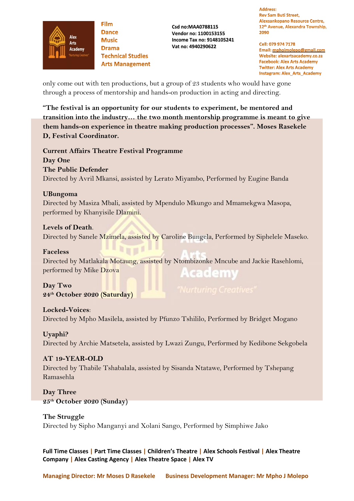

**Film Dance Music Drama Technical Studies Arts Management** 

**Csd no:MAA0788115 Vendor no: 1100153155 Income Tax no: 9148105241 Vat no: 4940290622** 

#### **Address: Rev Sam Buti Street,** Alexsankopano Resource Centre, 12<sup>th</sup> Avenue, Alexandra Township, 2090

Cell: 079 974 7178 Email: mphojmolepo@gmail.com Website: alexartsacademy.co.za **Facebook: Alex Arts Academy Twitter: Alex Arts Academy Instagram: Alex\_Arts\_Academy** 

only come out with ten productions, but a group of 23 students who would have gone through a process of mentorship and hands-on production in acting and directing.

**"The festival is an opportunity for our students to experiment, be mentored and transition into the industry… the two month mentorship programme is meant to give them hands-on experience in theatre making production processes". Moses Rasekele D, Festival Coordinator.**

**Current Affairs Theatre Festival Programme Day One The Public Defender** Directed by Avril Mkansi, assisted by Lerato Miyambo, Performed by Eugine Banda

#### **UBungoma**

Directed by Masiza Mbali, assisted by Mpendulo Mkungo and Mmamekgwa Masopa, performed by Khanyisile Dlamini.

## **Levels of Death**.

Directed by Sanele Mzimela, assisted by Caroline Bungela, Performed by Siphelele Maseko.

#### **Faceless**

Directed by Matlakala Motaung, assisted by Ntombizonke Mncube and Jackie Rasehlomi, performed by Mike Dzova **Academy** 

# **Day Two 24th October 2020 (Saturday)**

**Locked-Voices**: Directed by Mpho Masilela, assisted by Pfunzo Tshililo, Performed by Bridget Mogano

# **Uyaphi?**

Directed by Archie Matsetela, assisted by Lwazi Zungu, Performed by Kedibone Sekgobela

# **AT 19-YEAR-OLD**

Directed by Thabile Tshabalala, assisted by Sisanda Ntatawe, Performed by Tshepang Ramasehla

**Day Three 25th October 2020 (Sunday)**

# **The Struggle**

Directed by Sipho Manganyi and Xolani Sango, Performed by Simphiwe Jako

**Full Time Classes | Part Time Classes | Children's Theatre | Alex Schools Festival | Alex Theatre Company | Alex Casting Agency | Alex Theatre Space | Alex TV**